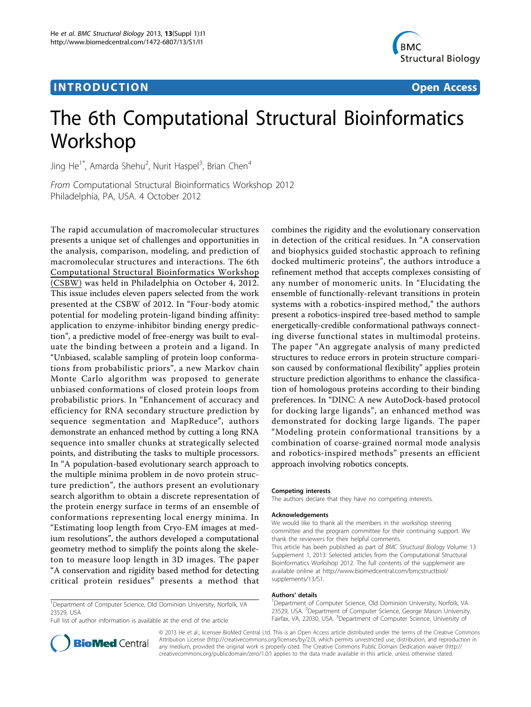## **INTRODUCTION CONSUMING THE CONSUMING TEACHER CONSUMING THE CONSUMING TEACHER CONSUMING THE CONSUMING TEACHER CONSUMING THE CONSUMING TEACHER CONSUMING THE CONSUMING THE CONSUMING THE CONSUMING THE CONSUMING THE CONSUMIN**



# The 6th Computational Structural Bioinformatics Workshop

Jing He<sup>1\*</sup>, Amarda Shehu<sup>2</sup>, Nurit Haspel<sup>3</sup>, Brian Chen<sup>4</sup>

From Computational Structural Bioinformatics Workshop 2012 Philadelphia, PA, USA. 4 October 2012

The rapid accumulation of macromolecular structures presents a unique set of challenges and opportunities in the analysis, comparison, modeling, and prediction of macromolecular structures and interactions. The 6th Computational Structural Bioinformatics Workshop (CSBW) was held in Philadelphia on October 4, 2012. This issue includes eleven papers selected from the work presented at the CSBW of 2012. In "Four-body atomic potential for modeling protein-ligand binding affinity: application to enzyme-inhibitor binding energy prediction", a predictive model of free-energy was built to evaluate the binding between a protein and a ligand. In "Unbiased, scalable sampling of protein loop conformations from probabilistic priors", a new Markov chain Monte Carlo algorithm was proposed to generate unbiased conformations of closed protein loops from probabilistic priors. In "Enhancement of accuracy and efficiency for RNA secondary structure prediction by sequence segmentation and MapReduce", authors demonstrate an enhanced method by cutting a long RNA sequence into smaller chunks at strategically selected points, and distributing the tasks to multiple processors. In "A population-based evolutionary search approach to the multiple minima problem in de novo protein structure prediction", the authors present an evolutionary search algorithm to obtain a discrete representation of the protein energy surface in terms of an ensemble of conformations representing local energy minima. In "Estimating loop length from Cryo-EM images at medium resolutions", the authors developed a computational geometry method to simplify the points along the skeleton to measure loop length in 3D images. The paper "A conservation and rigidity based method for detecting critical protein residues" presents a method that

<sup>1</sup>Department of Computer Science, Old Dominion University, Norfolk, VA 23529, USA

Full list of author information is available at the end of the article

combines the rigidity and the evolutionary conservation in detection of the critical residues. In "A conservation and biophysics guided stochastic approach to refining docked multimeric proteins", the authors introduce a refinement method that accepts complexes consisting of any number of monomeric units. In "Elucidating the ensemble of functionally-relevant transitions in protein systems with a robotics-inspired method," the authors present a robotics-inspired tree-based method to sample energetically-credible conformational pathways connecting diverse functional states in multimodal proteins. The paper "An aggregate analysis of many predicted structures to reduce errors in protein structure comparison caused by conformational flexibility" applies protein structure prediction algorithms to enhance the classification of homologous proteins according to their binding preferences. In "DINC: A new AutoDock-based protocol for docking large ligands", an enhanced method was demonstrated for docking large ligands. The paper "Modeling protein conformational transitions by a combination of coarse-grained normal mode analysis and robotics-inspired methods" presents an efficient approach involving robotics concepts.

#### Competing interests

The authors declare that they have no competing interests.

#### Acknowledgements

We would like to thank all the members in the workshop steering committee and the program committee for their continuing support. We thank the reviewers for their helpful comments. This article has been published as part of BMC Structural Biology Volume 13 Supplement 1, 2013: Selected articles from the Computational Structural Bioinformatics Workshop 2012. The full contents of the supplement are available online at [http://www.biomedcentral.com/bmcstructbiol/](http://www.biomedcentral.com/bmcstructbiol/supplements/13/S1) [supplements/13/S1.](http://www.biomedcentral.com/bmcstructbiol/supplements/13/S1)

#### Authors' details <sup>1</sup>

<sup>1</sup>Department of Computer Science, Old Dominion University, Norfolk, VA 23529, USA. <sup>2</sup>Department of Computer Science, George Mason University Fairfax, VA, 22030, USA. <sup>3</sup>Department of Computer Science, University of



© 2013 He et al.; licensee BioMed Central Ltd. This is an Open Access article distributed under the terms of the Creative Commons Attribution License [\(http://creativecommons.org/licenses/by/2.0](http://creativecommons.org/licenses/by/2.0)), which permits unrestricted use, distribution, and reproduction in any medium, provided the original work is properly cited. The Creative Commons Public Domain Dedication waiver [\(http://](http://creativecommons.org/publicdomain/zero/1.0/) [creativecommons.org/publicdomain/zero/1.0/](http://creativecommons.org/publicdomain/zero/1.0/)) applies to the data made available in this article, unless otherwise stated.